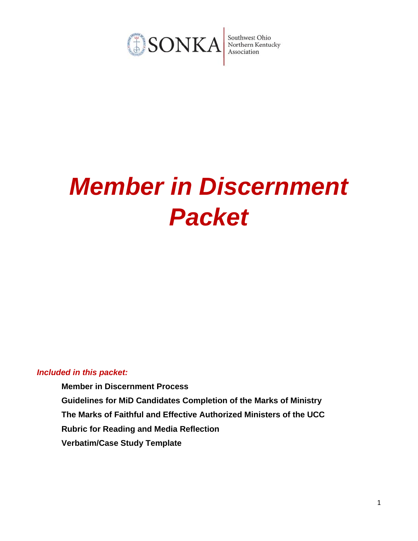

# *Member in Discernment Packet*

## *Included in this packet:*

**Member in Discernment Process Guidelines for MiD Candidates Completion of the Marks of Ministry The Marks of Faithful and Effective Authorized Ministers of the UCC Rubric for Reading and Media Reflection Verbatim/Case Study Template**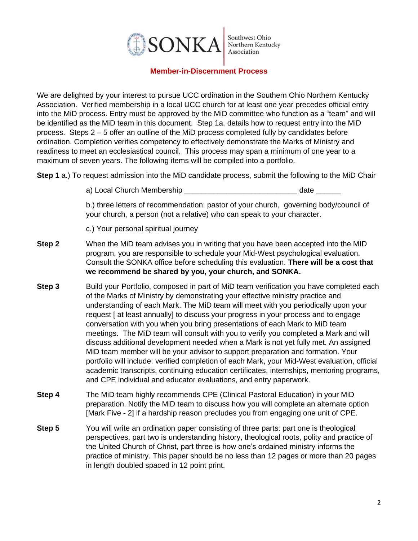

## **Member-in-Discernment Process**

We are delighted by your interest to pursue UCC ordination in the Southern Ohio Northern Kentucky Association. Verified membership in a local UCC church for at least one year precedes official entry into the MiD process. Entry must be approved by the MiD committee who function as a "team" and will be identified as the MiD team in this document. Step 1a. details how to request entry into the MiD process. Steps 2 – 5 offer an outline of the MiD process completed fully by candidates before ordination. Completion verifies competency to effectively demonstrate the Marks of Ministry and readiness to meet an ecclesiastical council. This process may span a minimum of one year to a maximum of seven years. The following items will be compiled into a portfolio.

**Step 1** a.) To request admission into the MiD candidate process, submit the following to the MiD Chair

a) Local Church Membership \_\_\_\_\_\_\_\_\_\_\_\_\_\_\_\_\_\_\_\_\_\_\_\_\_\_\_\_\_\_\_\_\_\_ date \_\_\_\_\_\_\_

b.) three letters of recommendation: pastor of your church, governing body/council of your church, a person (not a relative) who can speak to your character.

c.) Your personal spiritual journey

- **Step 2** When the MiD team advises you in writing that you have been accepted into the MID program, you are responsible to schedule your Mid-West psychological evaluation. Consult the SONKA office before scheduling this evaluation. **There will be a cost that we recommend be shared by you, your church, and SONKA.**
- **Step 3** Build your Portfolio, composed in part of MiD team verification you have completed each of the Marks of Ministry by demonstrating your effective ministry practice and understanding of each Mark. The MiD team will meet with you periodically upon your request [ at least annually] to discuss your progress in your process and to engage conversation with you when you bring presentations of each Mark to MiD team meetings. The MiD team will consult with you to verify you completed a Mark and will discuss additional development needed when a Mark is not yet fully met. An assigned MiD team member will be your advisor to support preparation and formation. Your portfolio will include: verified completion of each Mark, your Mid-West evaluation, official academic transcripts, continuing education certificates, internships, mentoring programs, and CPE individual and educator evaluations, and entry paperwork.
- **Step 4** The MiD team highly recommends CPE (Clinical Pastoral Education) in your MiD preparation. Notify the MiD team to discuss how you will complete an alternate option [Mark Five - 2] if a hardship reason precludes you from engaging one unit of CPE.
- **Step 5** You will write an ordination paper consisting of three parts: part one is theological perspectives, part two is understanding history, theological roots, polity and practice of the United Church of Christ, part three is how one's ordained ministry informs the practice of ministry. This paper should be no less than 12 pages or more than 20 pages in length doubled spaced in 12 point print.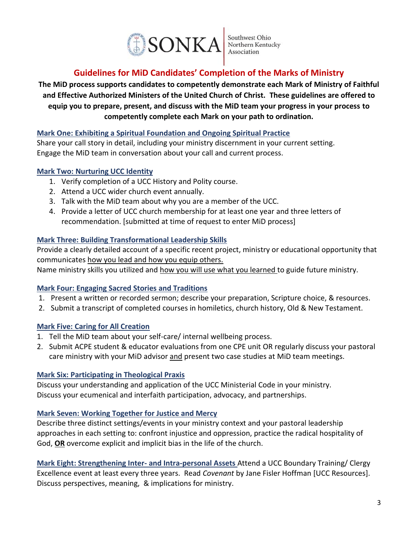

# **Guidelines for MiD Candidates' Completion of the Marks of Ministry**

**The MiD process supports candidates to competently demonstrate each Mark of Ministry of Faithful and Effective Authorized Ministers of the United Church of Christ. These guidelines are offered to equip you to prepare, present, and discuss with the MiD team your progress in your process to competently complete each Mark on your path to ordination.**

## **Mark One: Exhibiting a Spiritual Foundation and Ongoing Spiritual Practice**

Share your call story in detail, including your ministry discernment in your current setting. Engage the MiD team in conversation about your call and current process.

# **Mark Two: Nurturing UCC Identity**

- 1. Verify completion of a UCC History and Polity course.
- 2. Attend a UCC wider church event annually.
- 3. Talk with the MiD team about why you are a member of the UCC.
- 4. Provide a letter of UCC church membership for at least one year and three letters of recommendation. [submitted at time of request to enter MiD process]

# **Mark Three: Building Transformational Leadership Skills**

Provide a clearly detailed account of a specific recent project, ministry or educational opportunity that communicates how you lead and how you equip others.

Name ministry skills you utilized and how you will use what you learned to guide future ministry.

## **Mark Four: Engaging Sacred Stories and Traditions**

- 1. Present a written or recorded sermon; describe your preparation, Scripture choice, & resources.
- 2. Submit a transcript of completed courses in homiletics, church history, Old & New Testament.

# **Mark Five: Caring for All Creation**

- 1. Tell the MiD team about your self-care/ internal wellbeing process.
- 2. Submit ACPE student & educator evaluations from one CPE unit OR regularly discuss your pastoral care ministry with your MiD advisor and present two case studies at MiD team meetings.

## **Mark Six: Participating in Theological Praxis**

Discuss your understanding and application of the UCC Ministerial Code in your ministry. Discuss your ecumenical and interfaith participation, advocacy, and partnerships.

## **Mark Seven: Working Together for Justice and Mercy**

Describe three distinct settings/events in your ministry context and your pastoral leadership approaches in each setting to: confront injustice and oppression, practice the radical hospitality of God, **OR** overcome explicit and implicit bias in the life of the church.

**Mark Eight: Strengthening Inter- and Intra-personal Assets** Attend a UCC Boundary Training/ Clergy Excellence event at least every three years. Read *Covenant* by Jane Fisler Hoffman [UCC Resources]. Discuss perspectives, meaning, & implications for ministry.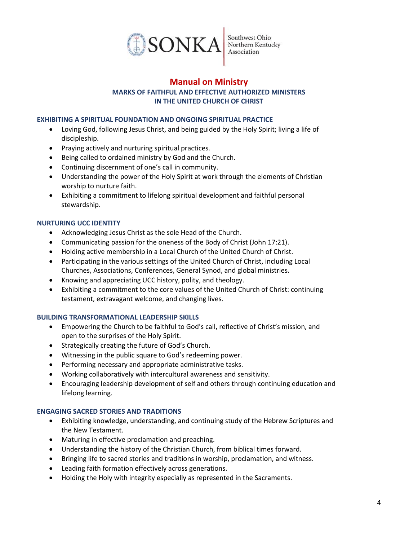

# **Manual on Ministry MARKS OF FAITHFUL AND EFFECTIVE AUTHORIZED MINISTERS IN THE UNITED CHURCH OF CHRIST**

#### **EXHIBITING A SPIRITUAL FOUNDATION AND ONGOING SPIRITUAL PRACTICE**

- Loving God, following Jesus Christ, and being guided by the Holy Spirit; living a life of discipleship.
- Praying actively and nurturing spiritual practices.
- Being called to ordained ministry by God and the Church.
- Continuing discernment of one's call in community.
- Understanding the power of the Holy Spirit at work through the elements of Christian worship to nurture faith.
- Exhibiting a commitment to lifelong spiritual development and faithful personal stewardship.

#### **NURTURING UCC IDENTITY**

- Acknowledging Jesus Christ as the sole Head of the Church.
- Communicating passion for the oneness of the Body of Christ (John 17:21).
- Holding active membership in a Local Church of the United Church of Christ.
- Participating in the various settings of the United Church of Christ, including Local Churches, Associations, Conferences, General Synod, and global ministries.
- Knowing and appreciating UCC history, polity, and theology.
- Exhibiting a commitment to the core values of the United Church of Christ: continuing testament, extravagant welcome, and changing lives.

#### **BUILDING TRANSFORMATIONAL LEADERSHIP SKILLS**

- Empowering the Church to be faithful to God's call, reflective of Christ's mission, and open to the surprises of the Holy Spirit.
- Strategically creating the future of God's Church.
- Witnessing in the public square to God's redeeming power.
- Performing necessary and appropriate administrative tasks.
- Working collaboratively with intercultural awareness and sensitivity.
- Encouraging leadership development of self and others through continuing education and lifelong learning.

#### **ENGAGING SACRED STORIES AND TRADITIONS**

- Exhibiting knowledge, understanding, and continuing study of the Hebrew Scriptures and the New Testament.
- Maturing in effective proclamation and preaching.
- Understanding the history of the Christian Church, from biblical times forward.
- Bringing life to sacred stories and traditions in worship, proclamation, and witness.
- Leading faith formation effectively across generations.
- Holding the Holy with integrity especially as represented in the Sacraments.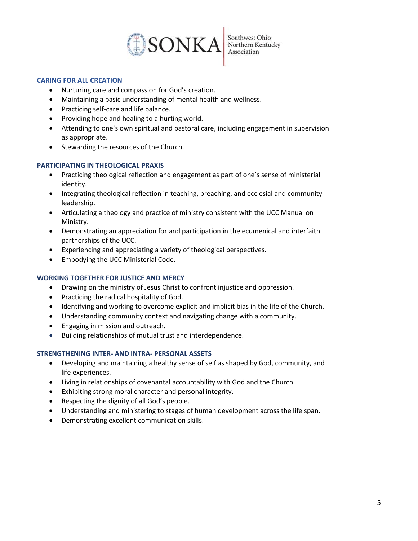

## **CARING FOR ALL CREATION**

- Nurturing care and compassion for God's creation.
- Maintaining a basic understanding of mental health and wellness.
- Practicing self-care and life balance.
- Providing hope and healing to a hurting world.
- Attending to one's own spiritual and pastoral care, including engagement in supervision as appropriate.
- Stewarding the resources of the Church.

## **PARTICIPATING IN THEOLOGICAL PRAXIS**

- Practicing theological reflection and engagement as part of one's sense of ministerial identity.
- Integrating theological reflection in teaching, preaching, and ecclesial and community leadership.
- Articulating a theology and practice of ministry consistent with the UCC Manual on Ministry.
- Demonstrating an appreciation for and participation in the ecumenical and interfaith partnerships of the UCC.
- Experiencing and appreciating a variety of theological perspectives.
- Embodying the UCC Ministerial Code.

## **WORKING TOGETHER FOR JUSTICE AND MERCY**

- Drawing on the ministry of Jesus Christ to confront injustice and oppression.
- Practicing the radical hospitality of God.
- Identifying and working to overcome explicit and implicit bias in the life of the Church.
- Understanding community context and navigating change with a community.
- Engaging in mission and outreach.
- Building relationships of mutual trust and interdependence.

## **STRENGTHENING INTER- AND INTRA- PERSONAL ASSETS**

- Developing and maintaining a healthy sense of self as shaped by God, community, and life experiences.
- Living in relationships of covenantal accountability with God and the Church.
- Exhibiting strong moral character and personal integrity.
- Respecting the dignity of all God's people.
- Understanding and ministering to stages of human development across the life span.
- Demonstrating excellent communication skills.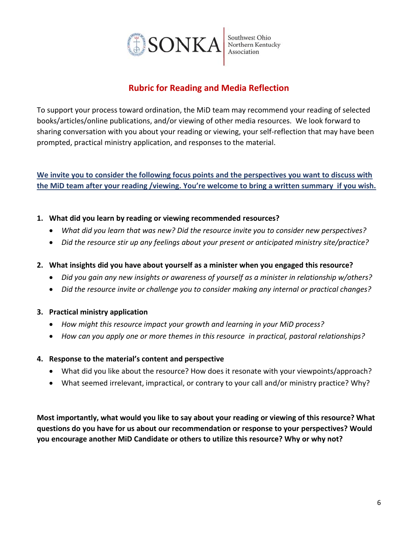

# **Rubric for Reading and Media Reflection**

To support your process toward ordination, the MiD team may recommend your reading of selected books/articles/online publications, and/or viewing of other media resources. We look forward to sharing conversation with you about your reading or viewing, your self-reflection that may have been prompted, practical ministry application, and responses to the material.

**We invite you to consider the following focus points and the perspectives you want to discuss with the MiD team after your reading /viewing. You're welcome to bring a written summary if you wish.** 

# **1. What did you learn by reading or viewing recommended resources?**

- *What did you learn that was new? Did the resource invite you to consider new perspectives?*
- *Did the resource stir up any feelings about your present or anticipated ministry site/practice?*
- **2. What insights did you have about yourself as a minister when you engaged this resource?**
	- *Did you gain any new insights or awareness of yourself as a minister in relationship w/others?*
	- *Did the resource invite or challenge you to consider making any internal or practical changes?*

## **3. Practical ministry application**

- *How might this resource impact your growth and learning in your MiD process?*
- *How can you apply one or more themes in this resource in practical, pastoral relationships?*

## **4. Response to the material's content and perspective**

- What did you like about the resource? How does it resonate with your viewpoints/approach?
- What seemed irrelevant, impractical, or contrary to your call and/or ministry practice? Why?

**Most importantly, what would you like to say about your reading or viewing of this resource? What questions do you have for us about our recommendation or response to your perspectives? Would you encourage another MiD Candidate or others to utilize this resource? Why or why not?**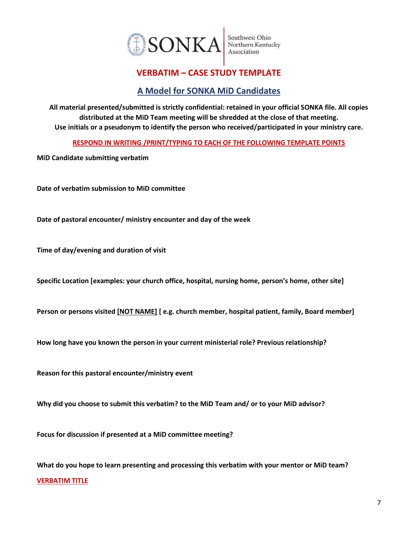

# **VERBATIM – CASE STUDY TEMPLATE**

# **A Model for SONKA MiD Candidates**

**All material presented/submitted is strictly confidential: retained in your official SONKA file. All copies distributed at the MiD Team meeting will be shredded at the close of that meeting. Use initials or a pseudonym to identify the person who received/participated in your ministry care.**

**RESPOND IN WRITING /PRINT/TYPING TO EACH OF THE FOLLOWING TEMPLATE POINTS**

**MiD Candidate submitting verbatim** 

**Date of verbatim submission to MiD committee**

**Date of pastoral encounter/ ministry encounter and day of the week** 

**Time of day/evening and duration of visit**

**Specific Location [examples: your church office, hospital, nursing home, person's home, other site]**

**Person or persons visited [NOT NAME] [ e.g. church member, hospital patient, family, Board member]**

**How long have you known the person in your current ministerial role? Previous relationship?**

**Reason for this pastoral encounter/ministry event**

**Why did you choose to submit this verbatim? to the MiD Team and/ or to your MiD advisor?**

**Focus for discussion if presented at a MiD committee meeting?**

**What do you hope to learn presenting and processing this verbatim with your mentor or MiD team? VERBATIM TITLE**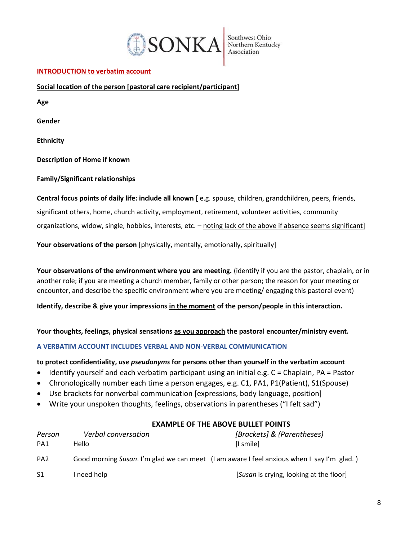

Southwest Ohio<br>Northern Kentucky<br>Association

## **INTRODUCTION to verbatim account**

**Social location of the person [pastoral care recipient/participant]**

**Age Gender Ethnicity** 

**Description of Home if known**

**Family/Significant relationships** 

**Central focus points of daily life: include all known [** e.g. spouse, children, grandchildren, peers, friends, significant others, home, church activity, employment, retirement, volunteer activities, community organizations, widow, single, hobbies, interests, etc. – noting lack of the above if absence seems significant]

**Your observations of the person** [physically, mentally, emotionally, spiritually]

**Your observations of the environment where you are meeting.** (identify if you are the pastor, chaplain, or in another role; if you are meeting a church member, family or other person; the reason for your meeting or encounter, and describe the specific environment where you are meeting/ engaging this pastoral event)

**Identify, describe & give your impressions in the moment of the person/people in this interaction.** 

**Your thoughts, feelings, physical sensations as you approach the pastoral encounter/ministry event.**

**A VERBATIM ACCOUNT INCLUDES VERBAL AND NON-VERBAL COMMUNICATION**

## **to protect confidentiality,** *use pseudonyms* **for persons other than yourself in the verbatim account**

- Identify yourself and each verbatim participant using an initial e.g. C = Chaplain, PA = Pastor
- Chronologically number each time a person engages, e.g. C1, PA1, P1(Patient), S1(Spouse)
- Use brackets for nonverbal communication [expressions, body language, position]
- Write your unspoken thoughts, feelings, observations in parentheses ("I felt sad")

## **EXAMPLE OF THE ABOVE BULLET POINTS**

| Person          | Verbal conversation | [Brackets] & (Parentheses)                                                                |
|-----------------|---------------------|-------------------------------------------------------------------------------------------|
| PA1             | Hello               | [I smile]                                                                                 |
| PA <sub>2</sub> |                     | Good morning Susan. I'm glad we can meet (I am aware I feel anxious when I say I'm glad.) |
| -S1             | I need help         | [Susan is crying, looking at the floor]                                                   |